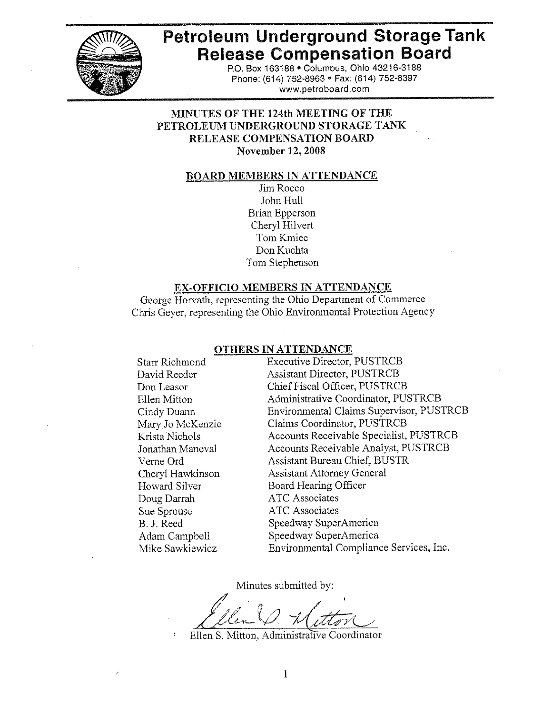

# **Petroleum Underground Storage Tank Release Compensation Board**

P.O. Box 163188 . Columbus, Ohio 43216-3188 Phone: (614) 752-8963 · Fax: (614) 752-8397 www.petroboard.com

# **MINUTES OF THE 124th MEETING OF THE** PETROLEUM UNDERGROUND STORAGE TANK RELEASE COMPENSATION BOARD **November 12, 2008**

#### **BOARD MEMBERS IN ATTENDANCE**

Jim Rocco John Hull **Brian Epperson** Cheryl Hilvert Tom Kmiec Don Kuchta Tom Stephenson

#### EX-OFFICIO MEMBERS IN ATTENDANCE

George Horvath, representing the Ohio Department of Commerce Chris Geyer, representing the Ohio Environmental Protection Agency

# OTHERS IN ATTENDANCE

**Starr Richmond** David Reeder Don Leasor Ellen Mitton Cindy Duann Mary Jo McKenzie Krista Nichols Jonathan Maneval Verne Ord Cheryl Hawkinson Howard Silver Doug Darrah Sue Sprouse B. J. Reed Adam Campbell Mike Sawkiewicz

**Executive Director, PUSTRCB Assistant Director, PUSTRCB** Chief Fiscal Officer, PUSTRCB Administrative Coordinator, PUSTRCB Environmental Claims Supervisor, PUSTRCB Claims Coordinator, PUSTRCB Accounts Receivable Specialist, PUSTRCB Accounts Receivable Analyst, PUSTRCB **Assistant Bureau Chief, BUSTR Assistant Attorney General Board Hearing Officer ATC** Associates **ATC Associates** Speedway SuperAmerica Speedway SuperAmerica Environmental Compliance Services, Inc.

Minutes submitted by:

Ellen S. Mitton, Administrative Coordinator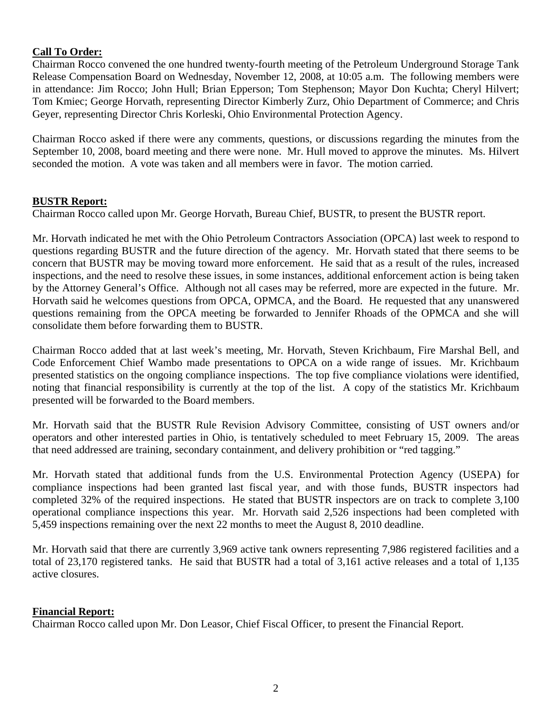#### **Call To Order:**

Chairman Rocco convened the one hundred twenty-fourth meeting of the Petroleum Underground Storage Tank Release Compensation Board on Wednesday, November 12, 2008, at 10:05 a.m. The following members were in attendance: Jim Rocco; John Hull; Brian Epperson; Tom Stephenson; Mayor Don Kuchta; Cheryl Hilvert; Tom Kmiec; George Horvath, representing Director Kimberly Zurz, Ohio Department of Commerce; and Chris Geyer, representing Director Chris Korleski, Ohio Environmental Protection Agency.

Chairman Rocco asked if there were any comments, questions, or discussions regarding the minutes from the September 10, 2008, board meeting and there were none. Mr. Hull moved to approve the minutes. Ms. Hilvert seconded the motion. A vote was taken and all members were in favor. The motion carried.

#### **BUSTR Report:**

Chairman Rocco called upon Mr. George Horvath, Bureau Chief, BUSTR, to present the BUSTR report.

Mr. Horvath indicated he met with the Ohio Petroleum Contractors Association (OPCA) last week to respond to questions regarding BUSTR and the future direction of the agency. Mr. Horvath stated that there seems to be concern that BUSTR may be moving toward more enforcement. He said that as a result of the rules, increased inspections, and the need to resolve these issues, in some instances, additional enforcement action is being taken by the Attorney General's Office. Although not all cases may be referred, more are expected in the future. Mr. Horvath said he welcomes questions from OPCA, OPMCA, and the Board. He requested that any unanswered questions remaining from the OPCA meeting be forwarded to Jennifer Rhoads of the OPMCA and she will consolidate them before forwarding them to BUSTR.

Chairman Rocco added that at last week's meeting, Mr. Horvath, Steven Krichbaum, Fire Marshal Bell, and Code Enforcement Chief Wambo made presentations to OPCA on a wide range of issues. Mr. Krichbaum presented statistics on the ongoing compliance inspections. The top five compliance violations were identified, noting that financial responsibility is currently at the top of the list. A copy of the statistics Mr. Krichbaum presented will be forwarded to the Board members.

Mr. Horvath said that the BUSTR Rule Revision Advisory Committee, consisting of UST owners and/or operators and other interested parties in Ohio, is tentatively scheduled to meet February 15, 2009. The areas that need addressed are training, secondary containment, and delivery prohibition or "red tagging."

Mr. Horvath stated that additional funds from the U.S. Environmental Protection Agency (USEPA) for compliance inspections had been granted last fiscal year, and with those funds, BUSTR inspectors had completed 32% of the required inspections. He stated that BUSTR inspectors are on track to complete 3,100 operational compliance inspections this year. Mr. Horvath said 2,526 inspections had been completed with 5,459 inspections remaining over the next 22 months to meet the August 8, 2010 deadline.

Mr. Horvath said that there are currently 3,969 active tank owners representing 7,986 registered facilities and a total of 23,170 registered tanks. He said that BUSTR had a total of 3,161 active releases and a total of 1,135 active closures.

#### **Financial Report:**

Chairman Rocco called upon Mr. Don Leasor, Chief Fiscal Officer, to present the Financial Report.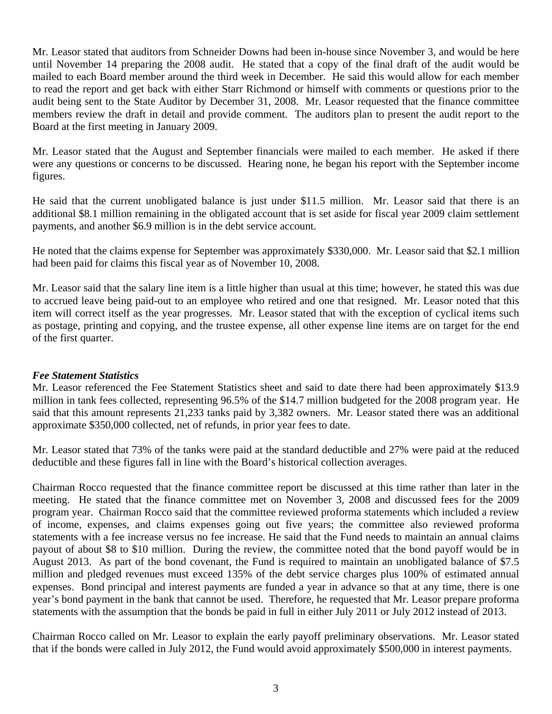Mr. Leasor stated that auditors from Schneider Downs had been in-house since November 3, and would be here until November 14 preparing the 2008 audit. He stated that a copy of the final draft of the audit would be mailed to each Board member around the third week in December. He said this would allow for each member to read the report and get back with either Starr Richmond or himself with comments or questions prior to the audit being sent to the State Auditor by December 31, 2008. Mr. Leasor requested that the finance committee members review the draft in detail and provide comment. The auditors plan to present the audit report to the Board at the first meeting in January 2009.

Mr. Leasor stated that the August and September financials were mailed to each member. He asked if there were any questions or concerns to be discussed. Hearing none, he began his report with the September income figures.

He said that the current unobligated balance is just under \$11.5 million. Mr. Leasor said that there is an additional \$8.1 million remaining in the obligated account that is set aside for fiscal year 2009 claim settlement payments, and another \$6.9 million is in the debt service account.

He noted that the claims expense for September was approximately \$330,000. Mr. Leasor said that \$2.1 million had been paid for claims this fiscal year as of November 10, 2008.

Mr. Leasor said that the salary line item is a little higher than usual at this time; however, he stated this was due to accrued leave being paid-out to an employee who retired and one that resigned. Mr. Leasor noted that this item will correct itself as the year progresses. Mr. Leasor stated that with the exception of cyclical items such as postage, printing and copying, and the trustee expense, all other expense line items are on target for the end of the first quarter.

# *Fee Statement Statistics*

Mr. Leasor referenced the Fee Statement Statistics sheet and said to date there had been approximately \$13.9 million in tank fees collected, representing 96.5% of the \$14.7 million budgeted for the 2008 program year. He said that this amount represents 21,233 tanks paid by 3,382 owners. Mr. Leasor stated there was an additional approximate \$350,000 collected, net of refunds, in prior year fees to date.

Mr. Leasor stated that 73% of the tanks were paid at the standard deductible and 27% were paid at the reduced deductible and these figures fall in line with the Board's historical collection averages.

Chairman Rocco requested that the finance committee report be discussed at this time rather than later in the meeting. He stated that the finance committee met on November 3, 2008 and discussed fees for the 2009 program year. Chairman Rocco said that the committee reviewed proforma statements which included a review of income, expenses, and claims expenses going out five years; the committee also reviewed proforma statements with a fee increase versus no fee increase. He said that the Fund needs to maintain an annual claims payout of about \$8 to \$10 million. During the review, the committee noted that the bond payoff would be in August 2013. As part of the bond covenant, the Fund is required to maintain an unobligated balance of \$7.5 million and pledged revenues must exceed 135% of the debt service charges plus 100% of estimated annual expenses. Bond principal and interest payments are funded a year in advance so that at any time, there is one year's bond payment in the bank that cannot be used. Therefore, he requested that Mr. Leasor prepare proforma statements with the assumption that the bonds be paid in full in either July 2011 or July 2012 instead of 2013.

Chairman Rocco called on Mr. Leasor to explain the early payoff preliminary observations. Mr. Leasor stated that if the bonds were called in July 2012, the Fund would avoid approximately \$500,000 in interest payments.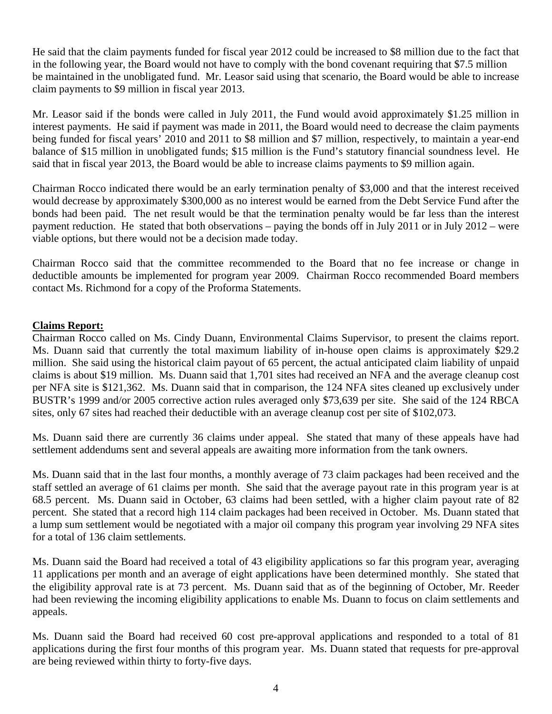He said that the claim payments funded for fiscal year 2012 could be increased to \$8 million due to the fact that in the following year, the Board would not have to comply with the bond covenant requiring that \$7.5 million be maintained in the unobligated fund. Mr. Leasor said using that scenario, the Board would be able to increase claim payments to \$9 million in fiscal year 2013.

Mr. Leasor said if the bonds were called in July 2011, the Fund would avoid approximately \$1.25 million in interest payments. He said if payment was made in 2011, the Board would need to decrease the claim payments being funded for fiscal years' 2010 and 2011 to \$8 million and \$7 million, respectively, to maintain a year-end balance of \$15 million in unobligated funds; \$15 million is the Fund's statutory financial soundness level. He said that in fiscal year 2013, the Board would be able to increase claims payments to \$9 million again.

Chairman Rocco indicated there would be an early termination penalty of \$3,000 and that the interest received would decrease by approximately \$300,000 as no interest would be earned from the Debt Service Fund after the bonds had been paid. The net result would be that the termination penalty would be far less than the interest payment reduction. He stated that both observations – paying the bonds off in July 2011 or in July 2012 – were viable options, but there would not be a decision made today.

Chairman Rocco said that the committee recommended to the Board that no fee increase or change in deductible amounts be implemented for program year 2009. Chairman Rocco recommended Board members contact Ms. Richmond for a copy of the Proforma Statements.

# **Claims Report:**

Chairman Rocco called on Ms. Cindy Duann, Environmental Claims Supervisor, to present the claims report. Ms. Duann said that currently the total maximum liability of in-house open claims is approximately \$29.2 million. She said using the historical claim payout of 65 percent, the actual anticipated claim liability of unpaid claims is about \$19 million. Ms. Duann said that 1,701 sites had received an NFA and the average cleanup cost per NFA site is \$121,362. Ms. Duann said that in comparison, the 124 NFA sites cleaned up exclusively under BUSTR's 1999 and/or 2005 corrective action rules averaged only \$73,639 per site. She said of the 124 RBCA sites, only 67 sites had reached their deductible with an average cleanup cost per site of \$102,073.

Ms. Duann said there are currently 36 claims under appeal. She stated that many of these appeals have had settlement addendums sent and several appeals are awaiting more information from the tank owners.

Ms. Duann said that in the last four months, a monthly average of 73 claim packages had been received and the staff settled an average of 61 claims per month. She said that the average payout rate in this program year is at 68.5 percent. Ms. Duann said in October, 63 claims had been settled, with a higher claim payout rate of 82 percent. She stated that a record high 114 claim packages had been received in October. Ms. Duann stated that a lump sum settlement would be negotiated with a major oil company this program year involving 29 NFA sites for a total of 136 claim settlements.

Ms. Duann said the Board had received a total of 43 eligibility applications so far this program year, averaging 11 applications per month and an average of eight applications have been determined monthly. She stated that the eligibility approval rate is at 73 percent. Ms. Duann said that as of the beginning of October, Mr. Reeder had been reviewing the incoming eligibility applications to enable Ms. Duann to focus on claim settlements and appeals.

Ms. Duann said the Board had received 60 cost pre-approval applications and responded to a total of 81 applications during the first four months of this program year. Ms. Duann stated that requests for pre-approval are being reviewed within thirty to forty-five days.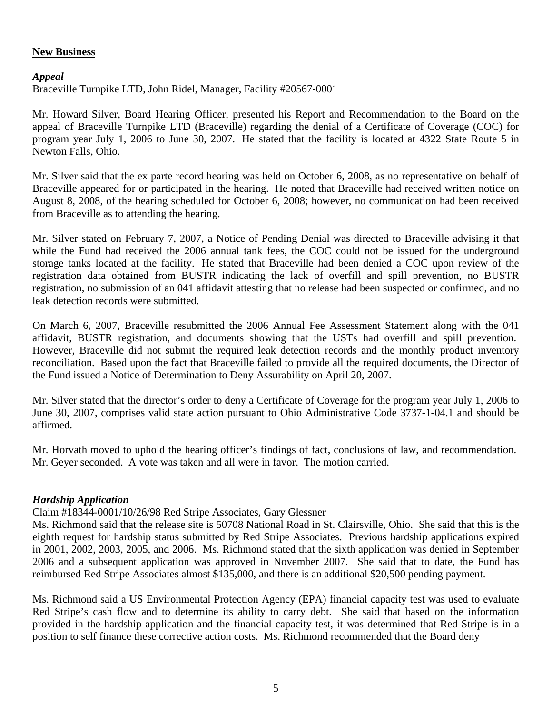# **New Business**

#### *Appeal*

# Braceville Turnpike LTD, John Ridel, Manager, Facility #20567-0001

Mr. Howard Silver, Board Hearing Officer, presented his Report and Recommendation to the Board on the appeal of Braceville Turnpike LTD (Braceville) regarding the denial of a Certificate of Coverage (COC) for program year July 1, 2006 to June 30, 2007. He stated that the facility is located at 4322 State Route 5 in Newton Falls, Ohio.

Mr. Silver said that the ex parte record hearing was held on October 6, 2008, as no representative on behalf of Braceville appeared for or participated in the hearing. He noted that Braceville had received written notice on August 8, 2008, of the hearing scheduled for October 6, 2008; however, no communication had been received from Braceville as to attending the hearing.

Mr. Silver stated on February 7, 2007, a Notice of Pending Denial was directed to Braceville advising it that while the Fund had received the 2006 annual tank fees, the COC could not be issued for the underground storage tanks located at the facility. He stated that Braceville had been denied a COC upon review of the registration data obtained from BUSTR indicating the lack of overfill and spill prevention, no BUSTR registration, no submission of an 041 affidavit attesting that no release had been suspected or confirmed, and no leak detection records were submitted.

On March 6, 2007, Braceville resubmitted the 2006 Annual Fee Assessment Statement along with the 041 affidavit, BUSTR registration, and documents showing that the USTs had overfill and spill prevention. However, Braceville did not submit the required leak detection records and the monthly product inventory reconciliation. Based upon the fact that Braceville failed to provide all the required documents, the Director of the Fund issued a Notice of Determination to Deny Assurability on April 20, 2007.

Mr. Silver stated that the director's order to deny a Certificate of Coverage for the program year July 1, 2006 to June 30, 2007, comprises valid state action pursuant to Ohio Administrative Code 3737-1-04.1 and should be affirmed.

Mr. Horvath moved to uphold the hearing officer's findings of fact, conclusions of law, and recommendation. Mr. Geyer seconded. A vote was taken and all were in favor. The motion carried.

# *Hardship Application*

# Claim #18344-0001/10/26/98 Red Stripe Associates, Gary Glessner

Ms. Richmond said that the release site is 50708 National Road in St. Clairsville, Ohio. She said that this is the eighth request for hardship status submitted by Red Stripe Associates. Previous hardship applications expired in 2001, 2002, 2003, 2005, and 2006. Ms. Richmond stated that the sixth application was denied in September 2006 and a subsequent application was approved in November 2007. She said that to date, the Fund has reimbursed Red Stripe Associates almost \$135,000, and there is an additional \$20,500 pending payment.

Ms. Richmond said a US Environmental Protection Agency (EPA) financial capacity test was used to evaluate Red Stripe's cash flow and to determine its ability to carry debt. She said that based on the information provided in the hardship application and the financial capacity test, it was determined that Red Stripe is in a position to self finance these corrective action costs. Ms. Richmond recommended that the Board deny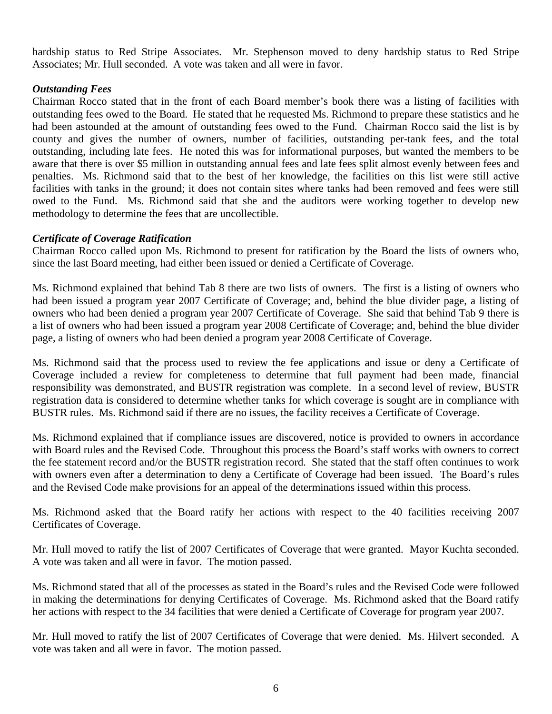hardship status to Red Stripe Associates. Mr. Stephenson moved to deny hardship status to Red Stripe Associates; Mr. Hull seconded. A vote was taken and all were in favor.

# *Outstanding Fees*

Chairman Rocco stated that in the front of each Board member's book there was a listing of facilities with outstanding fees owed to the Board. He stated that he requested Ms. Richmond to prepare these statistics and he had been astounded at the amount of outstanding fees owed to the Fund. Chairman Rocco said the list is by county and gives the number of owners, number of facilities, outstanding per-tank fees, and the total outstanding, including late fees. He noted this was for informational purposes, but wanted the members to be aware that there is over \$5 million in outstanding annual fees and late fees split almost evenly between fees and penalties. Ms. Richmond said that to the best of her knowledge, the facilities on this list were still active facilities with tanks in the ground; it does not contain sites where tanks had been removed and fees were still owed to the Fund. Ms. Richmond said that she and the auditors were working together to develop new methodology to determine the fees that are uncollectible.

#### *Certificate of Coverage Ratification*

Chairman Rocco called upon Ms. Richmond to present for ratification by the Board the lists of owners who, since the last Board meeting, had either been issued or denied a Certificate of Coverage.

Ms. Richmond explained that behind Tab 8 there are two lists of owners. The first is a listing of owners who had been issued a program year 2007 Certificate of Coverage; and, behind the blue divider page, a listing of owners who had been denied a program year 2007 Certificate of Coverage. She said that behind Tab 9 there is a list of owners who had been issued a program year 2008 Certificate of Coverage; and, behind the blue divider page, a listing of owners who had been denied a program year 2008 Certificate of Coverage.

Ms. Richmond said that the process used to review the fee applications and issue or deny a Certificate of Coverage included a review for completeness to determine that full payment had been made, financial responsibility was demonstrated, and BUSTR registration was complete. In a second level of review, BUSTR registration data is considered to determine whether tanks for which coverage is sought are in compliance with BUSTR rules. Ms. Richmond said if there are no issues, the facility receives a Certificate of Coverage.

Ms. Richmond explained that if compliance issues are discovered, notice is provided to owners in accordance with Board rules and the Revised Code. Throughout this process the Board's staff works with owners to correct the fee statement record and/or the BUSTR registration record. She stated that the staff often continues to work with owners even after a determination to deny a Certificate of Coverage had been issued. The Board's rules and the Revised Code make provisions for an appeal of the determinations issued within this process.

Ms. Richmond asked that the Board ratify her actions with respect to the 40 facilities receiving 2007 Certificates of Coverage.

Mr. Hull moved to ratify the list of 2007 Certificates of Coverage that were granted. Mayor Kuchta seconded. A vote was taken and all were in favor. The motion passed.

Ms. Richmond stated that all of the processes as stated in the Board's rules and the Revised Code were followed in making the determinations for denying Certificates of Coverage. Ms. Richmond asked that the Board ratify her actions with respect to the 34 facilities that were denied a Certificate of Coverage for program year 2007.

Mr. Hull moved to ratify the list of 2007 Certificates of Coverage that were denied. Ms. Hilvert seconded. A vote was taken and all were in favor. The motion passed.